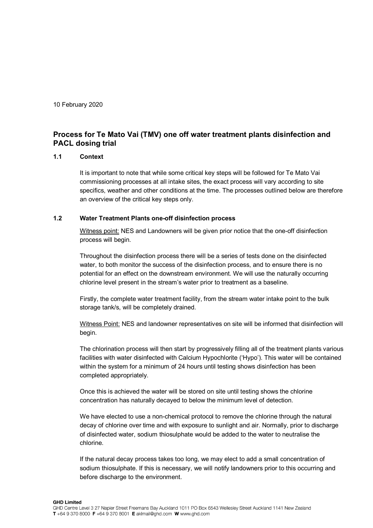10 February 2020

## **Process for Te Mato Vai (TMV) one off water treatment plants disinfection and PACL dosing trial**

## **1.1 Context**

It is important to note that while some critical key steps will be followed for Te Mato Vai commissioning processes at all intake sites, the exact process will vary according to site specifics, weather and other conditions at the time. The processes outlined below are therefore an overview of the critical key steps only.

## **1.2 Water Treatment Plants one-off disinfection process**

Witness point: NES and Landowners will be given prior notice that the one-off disinfection process will begin.

Throughout the disinfection process there will be a series of tests done on the disinfected water, to both monitor the success of the disinfection process, and to ensure there is no potential for an effect on the downstream environment. We will use the naturally occurring chlorine level present in the stream's water prior to treatment as a baseline.

Firstly, the complete water treatment facility, from the stream water intake point to the bulk storage tank/s, will be completely drained.

Witness Point: NES and landowner representatives on site will be informed that disinfection will begin.

The chlorination process will then start by progressively filling all of the treatment plants various facilities with water disinfected with Calcium Hypochlorite ('Hypo'). This water will be contained within the system for a minimum of 24 hours until testing shows disinfection has been completed appropriately.

Once this is achieved the water will be stored on site until testing shows the chlorine concentration has naturally decayed to below the minimum level of detection.

We have elected to use a non-chemical protocol to remove the chlorine through the natural decay of chlorine over time and with exposure to sunlight and air. Normally, prior to discharge of disinfected water, sodium thiosulphate would be added to the water to neutralise the chlorine.

If the natural decay process takes too long, we may elect to add a small concentration of sodium thiosulphate. If this is necessary, we will notify landowners prior to this occurring and before discharge to the environment.